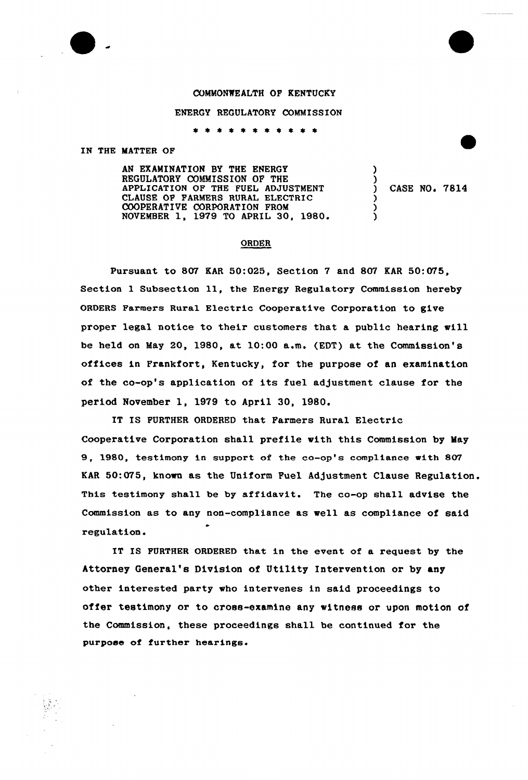COMMONWEALTH OF KENTUCKY

## ENERGY REGULATORY COMMISSION

\* \* \* \* \* \* \* \* \* \* \*

## IN THE MATTER OF

AN EXAMINATION BY THE ENERGY REGULATORY COMMISSION OP THE APPLICATION OF THE FUEL ADJUSTMENT CLAUSE OF FARMERS RURAL ELECTRIC COOPERATIVE CORPORATION FROM NOVEMBER 1, 1979 TO APRIL 30, 1980'

) CASE NO. 7814

)<br>)

) ) )

## ORDER

Pursuant to 807 KAR 50:025, Section 7 and 807 KAR 50:075, Section <sup>1</sup> Subsection ll, the Energy Regulatory Commission hereby ORDERS Farmers Rural Electric Cooperative Corporation to give proper legal notice to their customers that a public hearing will be held on May 20, 1980, at 10:00 a.m. (EDT) at the Commission's offices in Frankfort, Kentucky, for the purpose of an examination of the co-op's application of its fuel adjustment clause for the period November 1, 1979 to April 30, 1980.

IT IS FURTHER ORDERED that Farmers Rural Electric Cooperative Corporation shall prefile with this Commission by May 9, 1980, testimony in support of the co-op's compliance with 807 KAR 50:075, known as the Uniform Fuel Adjustment Clause Regulation. This testimony shall be by affidavit. The co-op shall advise the Commission as to any non-compliance as well as compliance of said regulation.

IT IS FURTHER ORDERED that in the event of a request by the Attorney General's Division of Utility Intervention or by any other interested party who intervenes in said proceedings to offer testimony or to cross-examine any witness or upon motion of the Commission, these proceedings shall be continued for the purpose of further hearings.